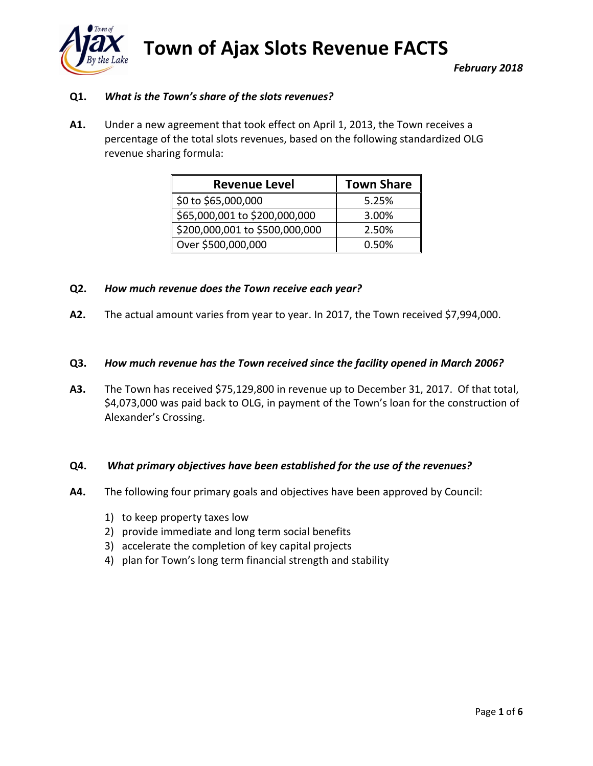

**Town of Ajax Slots Revenue FACTS** *February 2018*

# **Q1.** *What is the Town's share of the slots revenues?*

**A1.** Under a new agreement that took effect on April 1, 2013, the Town receives a percentage of the total slots revenues, based on the following standardized OLG revenue sharing formula:

| <b>Revenue Level</b>           | <b>Town Share</b> |
|--------------------------------|-------------------|
| \$0 to \$65,000,000            | 5.25%             |
| \$65,000,001 to \$200,000,000  | 3.00%             |
| \$200,000,001 to \$500,000,000 | 2.50%             |
| Over \$500,000,000             | 0.50%             |

#### **Q2.** *How much revenue does the Town receive each year?*

**A2.** The actual amount varies from year to year. In 2017, the Town received \$7,994,000.

#### **Q3.** *How much revenue has the Town received since the facility opened in March 2006?*

**A3.** The Town has received \$75,129,800 in revenue up to December 31, 2017. Of that total, \$4,073,000 was paid back to OLG, in payment of the Town's loan for the construction of Alexander's Crossing.

#### **Q4.** *What primary objectives have been established for the use of the revenues?*

- **A4.** The following four primary goals and objectives have been approved by Council:
	- 1) to keep property taxes low
	- 2) provide immediate and long term social benefits
	- 3) accelerate the completion of key capital projects
	- 4) plan for Town's long term financial strength and stability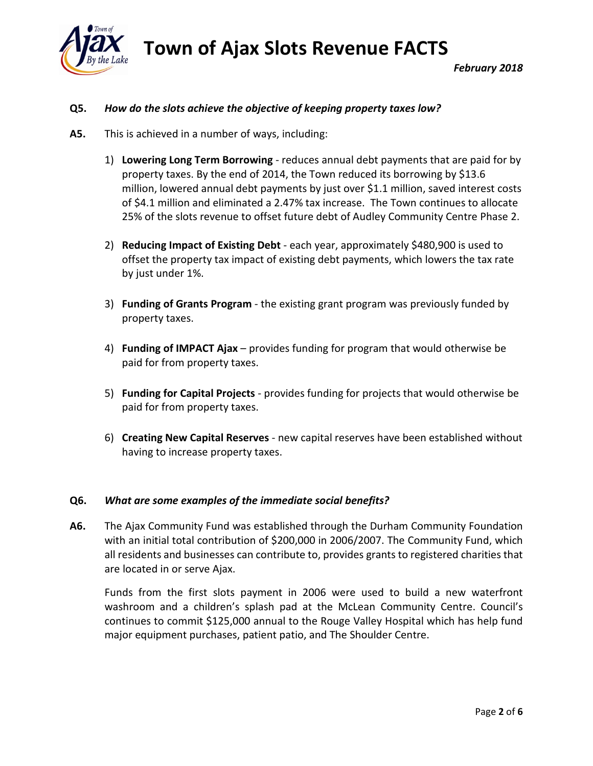

### **Q5.** *How do the slots achieve the objective of keeping property taxes low?*

- **A5.** This is achieved in a number of ways, including:
	- 1) **Lowering Long Term Borrowing** reduces annual debt payments that are paid for by property taxes. By the end of 2014, the Town reduced its borrowing by \$13.6 million, lowered annual debt payments by just over \$1.1 million, saved interest costs of \$4.1 million and eliminated a 2.47% tax increase. The Town continues to allocate 25% of the slots revenue to offset future debt of Audley Community Centre Phase 2.
	- 2) **Reducing Impact of Existing Debt** each year, approximately \$480,900 is used to offset the property tax impact of existing debt payments, which lowers the tax rate by just under 1%.
	- 3) **Funding of Grants Program** the existing grant program was previously funded by property taxes.
	- 4) **Funding of IMPACT Ajax** provides funding for program that would otherwise be paid for from property taxes.
	- 5) **Funding for Capital Projects** provides funding for projects that would otherwise be paid for from property taxes.
	- 6) **Creating New Capital Reserves** new capital reserves have been established without having to increase property taxes.

#### **Q6.** *What are some examples of the immediate social benefits?*

**A6.** The Ajax Community Fund was established through the Durham Community Foundation with an initial total contribution of \$200,000 in 2006/2007. The Community Fund, which all residents and businesses can contribute to, provides grants to registered charities that are located in or serve Ajax.

Funds from the first slots payment in 2006 were used to build a new waterfront washroom and a children's splash pad at the McLean Community Centre. Council's continues to commit \$125,000 annual to the Rouge Valley Hospital which has help fund major equipment purchases, patient patio, and The Shoulder Centre.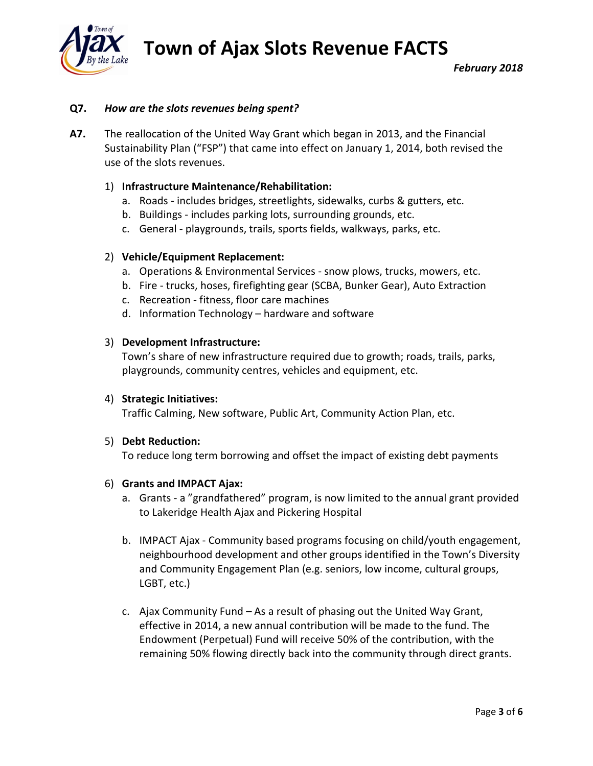**Town of Ajax Slots Revenue FACTS**



# **Q7.** *How are the slots revenues being spent?*

**A7.** The reallocation of the United Way Grant which began in 2013, and the Financial Sustainability Plan ("FSP") that came into effect on January 1, 2014, both revised the use of the slots revenues.

### 1) **Infrastructure Maintenance/Rehabilitation:**

- a. Roads includes bridges, streetlights, sidewalks, curbs & gutters, etc.
- b. Buildings includes parking lots, surrounding grounds, etc.
- c. General playgrounds, trails, sports fields, walkways, parks, etc.

#### 2) **Vehicle/Equipment Replacement:**

- a. Operations & Environmental Services snow plows, trucks, mowers, etc.
- b. Fire trucks, hoses, firefighting gear (SCBA, Bunker Gear), Auto Extraction
- c. Recreation fitness, floor care machines
- d. Information Technology hardware and software

#### 3) **Development Infrastructure:**

Town's share of new infrastructure required due to growth; roads, trails, parks, playgrounds, community centres, vehicles and equipment, etc.

#### 4) **Strategic Initiatives:**

Traffic Calming, New software, Public Art, Community Action Plan, etc.

#### 5) **Debt Reduction:**

To reduce long term borrowing and offset the impact of existing debt payments

#### 6) **Grants and IMPACT Ajax:**

- a. Grants a "grandfathered" program, is now limited to the annual grant provided to Lakeridge Health Ajax and Pickering Hospital
- b. IMPACT Ajax Community based programs focusing on child/youth engagement, neighbourhood development and other groups identified in the Town's Diversity and Community Engagement Plan (e.g. seniors, low income, cultural groups, LGBT, etc.)
- c. Ajax Community Fund As a result of phasing out the United Way Grant, effective in 2014, a new annual contribution will be made to the fund. The Endowment (Perpetual) Fund will receive 50% of the contribution, with the remaining 50% flowing directly back into the community through direct grants.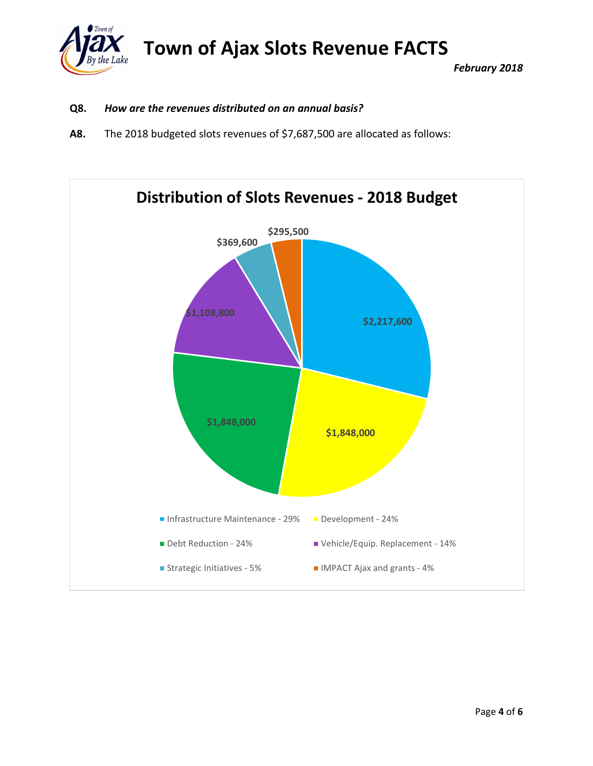

# **Q8.** *How are the revenues distributed on an annual basis?*

**A8.** The 2018 budgeted slots revenues of \$7,687,500 are allocated as follows:

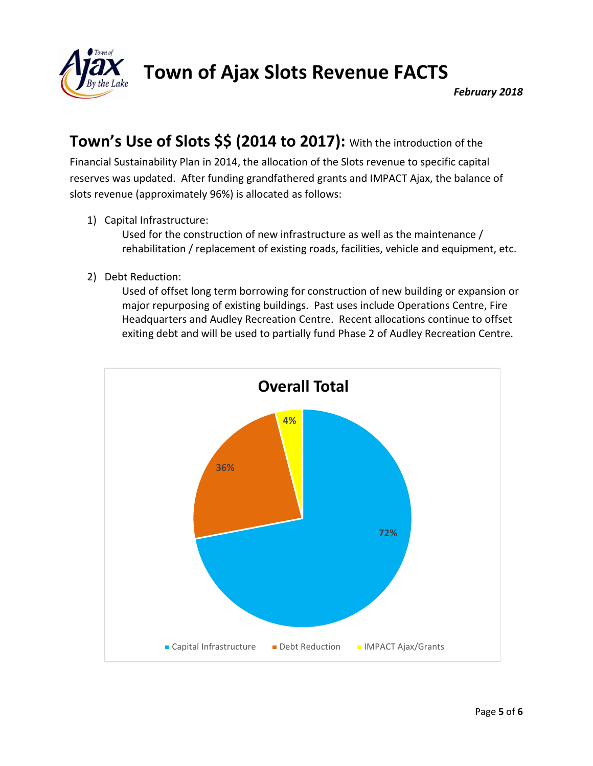

# **Town's Use of Slots \$\$ (2014 to 2017):** With the introduction of the

Financial Sustainability Plan in 2014, the allocation of the Slots revenue to specific capital reserves was updated. After funding grandfathered grants and IMPACT Ajax, the balance of slots revenue (approximately 96%) is allocated as follows:

1) Capital Infrastructure:

Used for the construction of new infrastructure as well as the maintenance / rehabilitation / replacement of existing roads, facilities, vehicle and equipment, etc.

2) Debt Reduction:

Used of offset long term borrowing for construction of new building or expansion or major repurposing of existing buildings. Past uses include Operations Centre, Fire Headquarters and Audley Recreation Centre. Recent allocations continue to offset exiting debt and will be used to partially fund Phase 2 of Audley Recreation Centre.